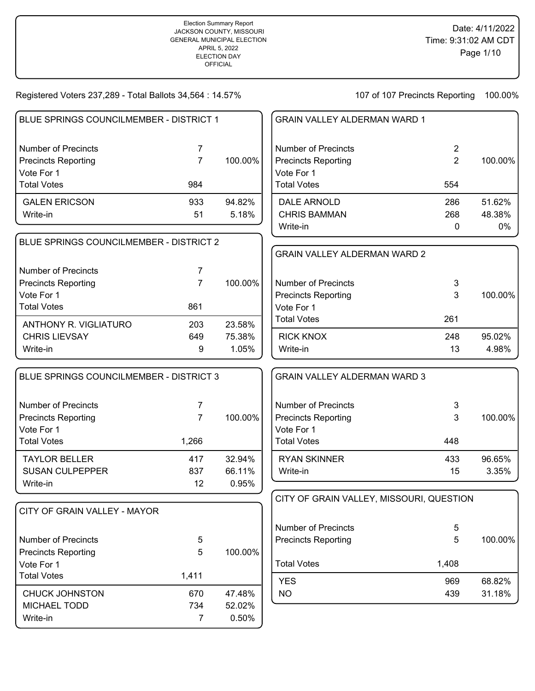| BLUE SPRINGS COUNCILMEMBER - DISTRICT 1  |                       |                 | <b>GRAIN VALLEY ALDERMAN WARD 1</b>      |                |         |
|------------------------------------------|-----------------------|-----------------|------------------------------------------|----------------|---------|
| <b>Number of Precincts</b>               | $\overline{7}$        |                 | <b>Number of Precincts</b>               | $\overline{2}$ |         |
| <b>Precincts Reporting</b>               | $\overline{7}$        | 100.00%         | <b>Precincts Reporting</b>               | $\overline{2}$ | 100.00% |
| Vote For 1                               |                       |                 | Vote For 1                               |                |         |
| <b>Total Votes</b>                       | 984                   |                 | <b>Total Votes</b>                       | 554            |         |
| <b>GALEN ERICSON</b>                     | 933                   | 94.82%          | <b>DALE ARNOLD</b>                       | 286            | 51.62%  |
| Write-in                                 | 51                    | 5.18%           | <b>CHRIS BAMMAN</b>                      | 268            | 48.38%  |
|                                          |                       |                 | Write-in                                 | $\mathbf 0$    | 0%      |
| BLUE SPRINGS COUNCILMEMBER - DISTRICT 2  |                       |                 |                                          |                |         |
|                                          |                       |                 | <b>GRAIN VALLEY ALDERMAN WARD 2</b>      |                |         |
| <b>Number of Precincts</b>               | 7                     |                 |                                          |                |         |
| <b>Precincts Reporting</b>               | $\overline{7}$        | 100.00%         | <b>Number of Precincts</b>               | 3              |         |
| Vote For 1                               |                       |                 | <b>Precincts Reporting</b>               | 3              | 100.00% |
| <b>Total Votes</b>                       | 861                   |                 | Vote For 1                               |                |         |
| <b>ANTHONY R. VIGLIATURO</b>             | 203                   | 23.58%          | <b>Total Votes</b>                       | 261            |         |
| <b>CHRIS LIEVSAY</b>                     | 649                   | 75.38%          | <b>RICK KNOX</b>                         | 248            | 95.02%  |
| Write-in                                 | 9                     | 1.05%           | Write-in                                 | 13             | 4.98%   |
| BLUE SPRINGS COUNCILMEMBER - DISTRICT 3  |                       |                 | <b>GRAIN VALLEY ALDERMAN WARD 3</b>      |                |         |
| <b>Number of Precincts</b>               | 7                     |                 | <b>Number of Precincts</b>               | 3              |         |
| <b>Precincts Reporting</b>               | $\overline{7}$        | 100.00%         | <b>Precincts Reporting</b>               | 3              | 100.00% |
| Vote For 1                               |                       |                 | Vote For 1                               |                |         |
| <b>Total Votes</b>                       | 1,266                 |                 | <b>Total Votes</b>                       | 448            |         |
| <b>TAYLOR BELLER</b>                     | 417                   | 32.94%          | <b>RYAN SKINNER</b>                      | 433            | 96.65%  |
| <b>SUSAN CULPEPPER</b>                   | 837                   | 66.11%          | Write-in                                 | 15             | 3.35%   |
| Write-in                                 | 12                    | 0.95%           |                                          |                |         |
|                                          |                       |                 | CITY OF GRAIN VALLEY, MISSOURI, QUESTION |                |         |
| CITY OF GRAIN VALLEY - MAYOR             |                       |                 |                                          |                |         |
|                                          |                       |                 | <b>Number of Precincts</b>               | 5              |         |
| <b>Number of Precincts</b>               | 5                     |                 | <b>Precincts Reporting</b>               | 5              | 100.00% |
| <b>Precincts Reporting</b><br>Vote For 1 | 5                     | 100.00%         | <b>Total Votes</b>                       | 1,408          |         |
| <b>Total Votes</b>                       | 1,411                 |                 |                                          |                |         |
|                                          |                       |                 | <b>YES</b>                               | 969            | 68.82%  |
| <b>CHUCK JOHNSTON</b>                    | 670                   | 47.48%          | <b>NO</b>                                | 439            | 31.18%  |
| <b>MICHAEL TODD</b>                      |                       |                 |                                          |                |         |
| Write-in                                 | 734<br>$\overline{7}$ | 52.02%<br>0.50% |                                          |                |         |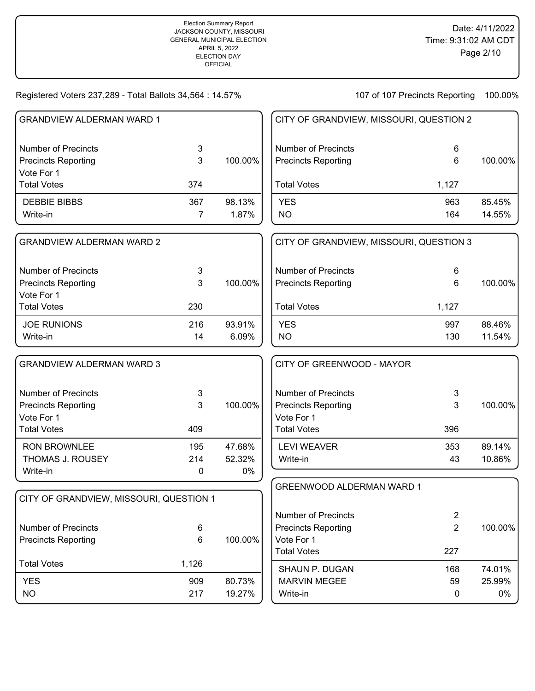| <b>GRANDVIEW ALDERMAN WARD 1</b>        |                |         | CITY OF GRANDVIEW, MISSOURI, QUESTION 2 |                |         |
|-----------------------------------------|----------------|---------|-----------------------------------------|----------------|---------|
| <b>Number of Precincts</b>              | 3              |         | <b>Number of Precincts</b>              | 6              |         |
| <b>Precincts Reporting</b>              | 3              | 100.00% | <b>Precincts Reporting</b>              | 6              | 100.00% |
| Vote For 1                              |                |         |                                         |                |         |
| <b>Total Votes</b>                      | 374            |         | <b>Total Votes</b>                      | 1,127          |         |
| <b>DEBBIE BIBBS</b>                     | 367            | 98.13%  | <b>YES</b>                              | 963            | 85.45%  |
| Write-in                                | $\overline{7}$ | 1.87%   | <b>NO</b>                               | 164            | 14.55%  |
| <b>GRANDVIEW ALDERMAN WARD 2</b>        |                |         | CITY OF GRANDVIEW, MISSOURI, QUESTION 3 |                |         |
| <b>Number of Precincts</b>              | 3              |         | <b>Number of Precincts</b>              | 6              |         |
| <b>Precincts Reporting</b>              | 3              | 100.00% | <b>Precincts Reporting</b>              | 6              | 100.00% |
| Vote For 1                              |                |         |                                         |                |         |
| <b>Total Votes</b>                      | 230            |         | <b>Total Votes</b>                      | 1,127          |         |
| <b>JOE RUNIONS</b>                      | 216            | 93.91%  | <b>YES</b>                              | 997            | 88.46%  |
| Write-in                                | 14             | 6.09%   | <b>NO</b>                               | 130            | 11.54%  |
| <b>GRANDVIEW ALDERMAN WARD 3</b>        |                |         | CITY OF GREENWOOD - MAYOR               |                |         |
| <b>Number of Precincts</b>              | 3              |         | <b>Number of Precincts</b>              | 3              |         |
| <b>Precincts Reporting</b>              | 3              | 100.00% | <b>Precincts Reporting</b>              | 3              | 100.00% |
| Vote For 1                              |                |         | Vote For 1                              |                |         |
| <b>Total Votes</b>                      | 409            |         | <b>Total Votes</b>                      | 396            |         |
| <b>RON BROWNLEE</b>                     | 195            | 47.68%  | <b>LEVI WEAVER</b>                      | 353            | 89.14%  |
| THOMAS J. ROUSEY                        | 214            | 52.32%  | Write-in                                | 43             | 10.86%  |
| Write-in                                | 0              | 0%      |                                         |                |         |
|                                         |                |         | <b>GREENWOOD ALDERMAN WARD 1</b>        |                |         |
| CITY OF GRANDVIEW, MISSOURI, QUESTION 1 |                |         |                                         |                |         |
|                                         |                |         | <b>Number of Precincts</b>              | $\overline{2}$ |         |
| <b>Number of Precincts</b>              | 6              |         | <b>Precincts Reporting</b>              | $\overline{2}$ | 100.00% |
| <b>Precincts Reporting</b>              | 6              | 100.00% | Vote For 1                              |                |         |
| <b>Total Votes</b>                      | 1,126          |         | <b>Total Votes</b>                      | 227            |         |
|                                         |                |         | SHAUN P. DUGAN                          | 168            | 74.01%  |
| <b>YES</b>                              | 909            | 80.73%  | <b>MARVIN MEGEE</b>                     | 59             | 25.99%  |
| <b>NO</b>                               | 217            | 19.27%  | Write-in                                | 0              | 0%      |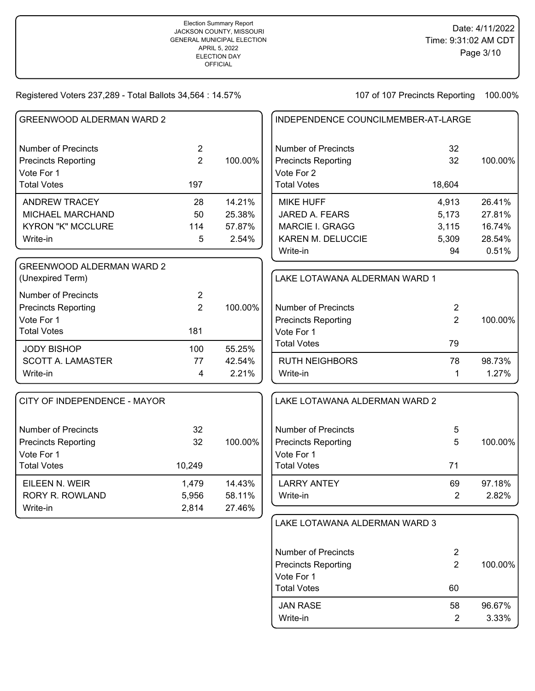| <b>GREENWOOD ALDERMAN WARD 2</b>                         |                                  |         | INDEPENDENCE COUNCILMEMBER-AT-LARGE                      |                |         |  |
|----------------------------------------------------------|----------------------------------|---------|----------------------------------------------------------|----------------|---------|--|
| <b>Number of Precincts</b><br><b>Precincts Reporting</b> | $\overline{2}$<br>$\overline{2}$ | 100.00% | <b>Number of Precincts</b><br><b>Precincts Reporting</b> | 32<br>32       | 100.00% |  |
| Vote For 1<br><b>Total Votes</b>                         | 197                              |         | Vote For 2<br><b>Total Votes</b>                         | 18,604         |         |  |
| <b>ANDREW TRACEY</b>                                     | 28                               | 14.21%  | <b>MIKE HUFF</b>                                         | 4,913          | 26.41%  |  |
| MICHAEL MARCHAND                                         | 50                               | 25.38%  | JARED A. FEARS                                           | 5,173          | 27.81%  |  |
| <b>KYRON "K" MCCLURE</b>                                 | 114                              | 57.87%  | MARCIE I. GRAGG                                          | 3,115          | 16.74%  |  |
| Write-in                                                 | 5                                | 2.54%   | KAREN M. DELUCCIE                                        | 5,309          | 28.54%  |  |
|                                                          |                                  |         | Write-in                                                 | 94             | 0.51%   |  |
| <b>GREENWOOD ALDERMAN WARD 2</b><br>(Unexpired Term)     |                                  |         | LAKE LOTAWANA ALDERMAN WARD 1                            |                |         |  |
| <b>Number of Precincts</b><br><b>Precincts Reporting</b> | $\overline{2}$<br>$\overline{2}$ | 100.00% | <b>Number of Precincts</b>                               | $\overline{2}$ |         |  |
| Vote For 1                                               |                                  |         | <b>Precincts Reporting</b>                               | $\overline{2}$ | 100.00% |  |
| <b>Total Votes</b>                                       | 181                              |         | Vote For 1                                               |                |         |  |
| <b>JODY BISHOP</b>                                       | 100                              | 55.25%  | <b>Total Votes</b>                                       | 79             |         |  |
| <b>SCOTT A. LAMASTER</b>                                 | 77                               | 42.54%  | <b>RUTH NEIGHBORS</b>                                    | 78             | 98.73%  |  |
| Write-in                                                 | $\overline{\mathbf{4}}$          | 2.21%   | Write-in                                                 | 1              | 1.27%   |  |
| CITY OF INDEPENDENCE - MAYOR                             |                                  |         | LAKE LOTAWANA ALDERMAN WARD 2                            |                |         |  |
| <b>Number of Precincts</b>                               | 32                               |         | <b>Number of Precincts</b>                               | 5              |         |  |
| <b>Precincts Reporting</b>                               | 32                               | 100.00% | <b>Precincts Reporting</b>                               | 5              | 100.00% |  |
| Vote For 1                                               |                                  |         | Vote For 1                                               |                |         |  |
| <b>Total Votes</b>                                       | 10,249                           |         | <b>Total Votes</b>                                       | 71             |         |  |
| EILEEN N. WEIR                                           | 1,479                            | 14.43%  | <b>LARRY ANTEY</b>                                       | 69             | 97.18%  |  |
| <b>RORY R. ROWLAND</b>                                   | 5,956                            | 58.11%  | Write-in                                                 | 2              | 2.82%   |  |
| Write-in                                                 | 2,814                            | 27.46%  |                                                          |                |         |  |
|                                                          |                                  |         | LAKE LOTAWANA ALDERMAN WARD 3                            |                |         |  |
|                                                          |                                  |         | <b>Number of Precincts</b>                               | $\mathbf{2}$   |         |  |
|                                                          |                                  |         | <b>Precincts Reporting</b>                               | $\overline{2}$ | 100.00% |  |
|                                                          |                                  |         | Vote For 1                                               |                |         |  |
|                                                          |                                  |         | <b>Total Votes</b>                                       | 60             |         |  |
|                                                          |                                  |         | <b>JAN RASE</b>                                          | 58             | 96.67%  |  |
|                                                          |                                  |         | Write-in                                                 | $\overline{2}$ | 3.33%   |  |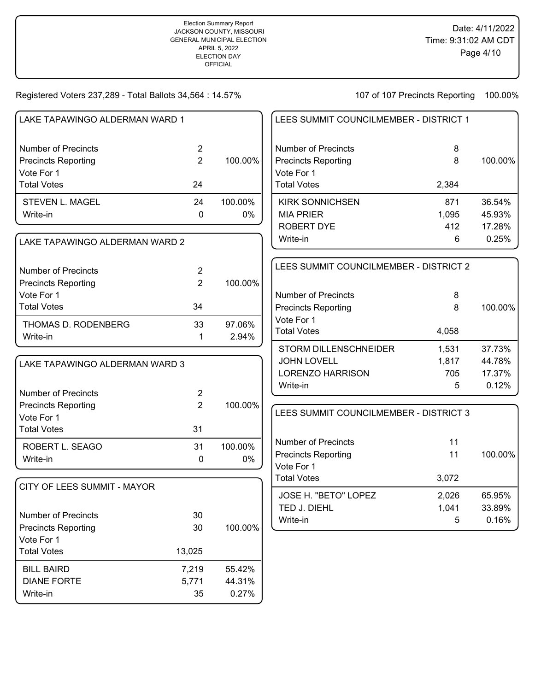DIANE FORTE 5,771 44.31% Write-in 35 0.27%

| LAKE TAPAWINGO ALDERMAN WARD 1 |                |         | LEES SUMMIT COUNCILMEMBER - DISTRICT 1 |       |         |  |
|--------------------------------|----------------|---------|----------------------------------------|-------|---------|--|
| <b>Number of Precincts</b>     | $\overline{2}$ |         | <b>Number of Precincts</b>             | 8     |         |  |
| <b>Precincts Reporting</b>     | $\overline{2}$ | 100.00% | <b>Precincts Reporting</b>             | 8     | 100.00% |  |
| Vote For 1                     |                |         | Vote For 1                             |       |         |  |
| <b>Total Votes</b>             | 24             |         | <b>Total Votes</b>                     | 2,384 |         |  |
| STEVEN L. MAGEL                | 24             | 100.00% | <b>KIRK SONNICHSEN</b>                 | 871   | 36.54%  |  |
| Write-in                       | $\mathbf 0$    | 0%      | <b>MIA PRIER</b>                       | 1,095 | 45.93%  |  |
|                                |                |         | <b>ROBERT DYE</b>                      | 412   | 17.28%  |  |
| LAKE TAPAWINGO ALDERMAN WARD 2 |                |         | Write-in                               | 6     | 0.25%   |  |
|                                |                |         | LEES SUMMIT COUNCILMEMBER - DISTRICT 2 |       |         |  |
| <b>Number of Precincts</b>     | 2              |         |                                        |       |         |  |
| <b>Precincts Reporting</b>     | $\overline{2}$ | 100.00% |                                        |       |         |  |
| Vote For 1                     |                |         | <b>Number of Precincts</b>             | 8     |         |  |
| <b>Total Votes</b>             | 34             |         | <b>Precincts Reporting</b>             | 8     | 100.00% |  |
| THOMAS D. RODENBERG            | 33             | 97.06%  | Vote For 1                             |       |         |  |
| Write-in                       | 1              | 2.94%   | <b>Total Votes</b>                     | 4,058 |         |  |
|                                |                |         | STORM DILLENSCHNEIDER                  | 1,531 | 37.73%  |  |
| LAKE TAPAWINGO ALDERMAN WARD 3 |                |         | <b>JOHN LOVELL</b>                     | 1,817 | 44.78%  |  |
|                                |                |         | <b>LORENZO HARRISON</b>                | 705   | 17.37%  |  |
| <b>Number of Precincts</b>     | $\overline{2}$ |         | Write-in                               | 5     | 0.12%   |  |
| <b>Precincts Reporting</b>     | $\overline{2}$ | 100.00% |                                        |       |         |  |
| Vote For 1                     |                |         | LEES SUMMIT COUNCILMEMBER - DISTRICT 3 |       |         |  |
| <b>Total Votes</b>             | 31             |         |                                        |       |         |  |
| ROBERT L. SEAGO                | 31             | 100.00% | <b>Number of Precincts</b>             | 11    |         |  |
| Write-in                       | 0              | 0%      | <b>Precincts Reporting</b>             | 11    | 100.00% |  |
|                                |                |         | Vote For 1                             |       |         |  |
| CITY OF LEES SUMMIT - MAYOR    |                |         | <b>Total Votes</b>                     | 3,072 |         |  |
|                                |                |         | JOSE H. "BETO" LOPEZ                   | 2,026 | 65.95%  |  |
|                                |                |         | TED J. DIEHL                           | 1,041 | 33.89%  |  |
| <b>Number of Precincts</b>     | 30             |         | Write-in                               | 5     | 0.16%   |  |
| <b>Precincts Reporting</b>     | 30             | 100.00% |                                        |       |         |  |
| Vote For 1                     |                |         |                                        |       |         |  |
| <b>Total Votes</b>             | 13,025         |         |                                        |       |         |  |
| <b>BILL BAIRD</b>              | 7,219          | 55.42%  |                                        |       |         |  |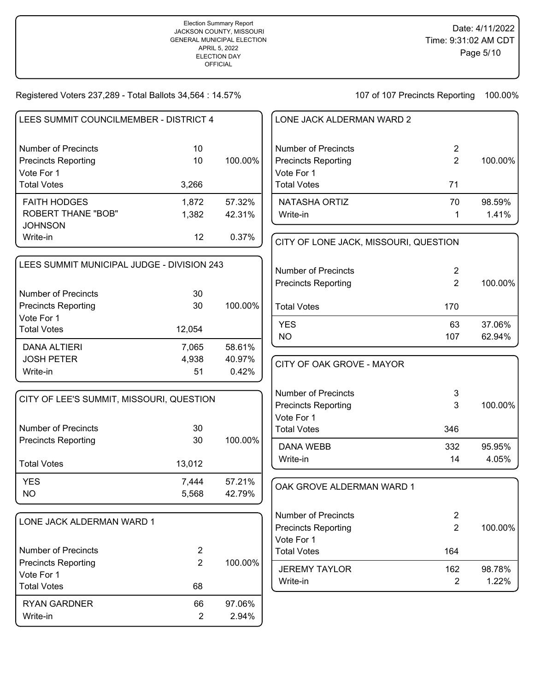| LEES SUMMIT COUNCILMEMBER - DISTRICT 4                   |                                  |         | LONE JACK ALDERMAN WARD 2             |                |         |
|----------------------------------------------------------|----------------------------------|---------|---------------------------------------|----------------|---------|
| <b>Number of Precincts</b>                               | 10                               |         | <b>Number of Precincts</b>            | $\overline{2}$ |         |
| <b>Precincts Reporting</b>                               | 10                               | 100.00% | <b>Precincts Reporting</b>            | $\overline{2}$ | 100.00% |
| Vote For 1<br><b>Total Votes</b>                         | 3,266                            |         | Vote For 1<br><b>Total Votes</b>      | 71             |         |
| <b>FAITH HODGES</b>                                      | 1,872                            | 57.32%  | <b>NATASHA ORTIZ</b>                  | 70             | 98.59%  |
| <b>ROBERT THANE "BOB"</b>                                | 1,382                            | 42.31%  | Write-in                              | 1              | 1.41%   |
| <b>JOHNSON</b>                                           |                                  |         |                                       |                |         |
| Write-in                                                 | 12                               | 0.37%   | CITY OF LONE JACK, MISSOURI, QUESTION |                |         |
| LEES SUMMIT MUNICIPAL JUDGE - DIVISION 243               |                                  |         | <b>Number of Precincts</b>            | $\overline{2}$ |         |
|                                                          |                                  |         | <b>Precincts Reporting</b>            | $\overline{2}$ | 100.00% |
| <b>Number of Precincts</b>                               | 30                               |         |                                       |                |         |
| <b>Precincts Reporting</b>                               | 30                               | 100.00% | <b>Total Votes</b>                    | 170            |         |
| Vote For 1                                               |                                  |         | <b>YES</b>                            | 63             | 37.06%  |
| <b>Total Votes</b>                                       | 12,054                           |         | <b>NO</b>                             | 107            | 62.94%  |
| <b>DANA ALTIERI</b>                                      | 7,065                            | 58.61%  |                                       |                |         |
| <b>JOSH PETER</b>                                        | 4,938                            | 40.97%  | CITY OF OAK GROVE - MAYOR             |                |         |
| Write-in                                                 | 51                               | 0.42%   |                                       |                |         |
|                                                          |                                  |         | <b>Number of Precincts</b>            | 3              |         |
| CITY OF LEE'S SUMMIT, MISSOURI, QUESTION                 |                                  |         | <b>Precincts Reporting</b>            | 3              | 100.00% |
|                                                          |                                  |         | Vote For 1                            |                |         |
| <b>Number of Precincts</b>                               | 30                               |         | <b>Total Votes</b>                    | 346            |         |
| <b>Precincts Reporting</b>                               | 30                               | 100.00% | <b>DANA WEBB</b>                      | 332            | 95.95%  |
| <b>Total Votes</b>                                       | 13,012                           |         | Write-in                              | 14             | 4.05%   |
| <b>YES</b>                                               | 7,444                            | 57.21%  | OAK GROVE ALDERMAN WARD 1             |                |         |
| <b>NO</b>                                                | 5,568                            | 42.79%  |                                       |                |         |
| LONE JACK ALDERMAN WARD 1                                |                                  |         | <b>Number of Precincts</b>            | $\overline{2}$ |         |
|                                                          |                                  |         | <b>Precincts Reporting</b>            | $\overline{2}$ | 100.00% |
|                                                          |                                  |         | Vote For 1                            |                |         |
| <b>Number of Precincts</b><br><b>Precincts Reporting</b> | $\overline{2}$<br>$\overline{2}$ | 100.00% | <b>Total Votes</b>                    | 164            |         |
| Vote For 1                                               |                                  |         | <b>JEREMY TAYLOR</b>                  | 162            | 98.78%  |
| <b>Total Votes</b>                                       | 68                               |         | Write-in                              | $\overline{2}$ | 1.22%   |
| <b>RYAN GARDNER</b>                                      | 66                               | 97.06%  |                                       |                |         |
| Write-in                                                 | $\overline{2}$                   | 2.94%   |                                       |                |         |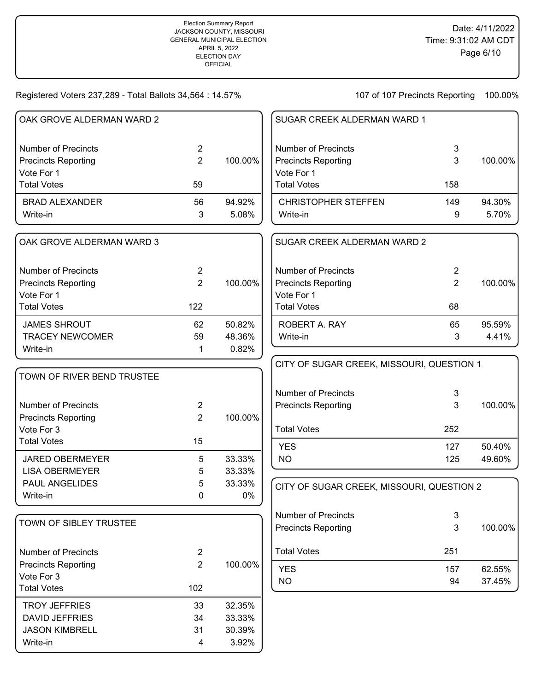## Registered Voters 237,289 - Total Ballots 34,564 : 14.57%

Write-in 4 3.92%

| OAK GROVE ALDERMAN WARD 2  |                |         | SUGAR CREEK ALDERMAN WARD 1               |                |         |
|----------------------------|----------------|---------|-------------------------------------------|----------------|---------|
| <b>Number of Precincts</b> | $\overline{2}$ |         | <b>Number of Precincts</b>                | 3              |         |
| <b>Precincts Reporting</b> | $\overline{2}$ | 100.00% | <b>Precincts Reporting</b>                | 3              | 100.00% |
| Vote For 1                 |                |         | Vote For 1                                |                |         |
| <b>Total Votes</b>         | 59             |         | <b>Total Votes</b>                        | 158            |         |
| <b>BRAD ALEXANDER</b>      | 56             | 94.92%  | <b>CHRISTOPHER STEFFEN</b>                | 149            | 94.30%  |
| Write-in                   | 3              | 5.08%   | Write-in                                  | 9              | 5.70%   |
| OAK GROVE ALDERMAN WARD 3  |                |         | SUGAR CREEK ALDERMAN WARD 2               |                |         |
| <b>Number of Precincts</b> | $\overline{2}$ |         | <b>Number of Precincts</b>                | $\overline{2}$ |         |
| <b>Precincts Reporting</b> | $\overline{2}$ | 100.00% | <b>Precincts Reporting</b>                | $\overline{2}$ | 100.00% |
| Vote For 1                 |                |         | Vote For 1                                |                |         |
| <b>Total Votes</b>         | 122            |         | <b>Total Votes</b>                        | 68             |         |
| <b>JAMES SHROUT</b>        | 62             | 50.82%  | ROBERT A. RAY                             | 65             | 95.59%  |
| <b>TRACEY NEWCOMER</b>     | 59             | 48.36%  | Write-in                                  | 3              | 4.41%   |
| Write-in                   | 1              | 0.82%   |                                           |                |         |
|                            |                |         | CITY OF SUGAR CREEK, MISSOURI, QUESTION 1 |                |         |
| TOWN OF RIVER BEND TRUSTEE |                |         |                                           |                |         |
|                            |                |         | <b>Number of Precincts</b>                | $\mathbf{3}$   |         |
| <b>Number of Precincts</b> | $\overline{2}$ |         | <b>Precincts Reporting</b>                | 3              | 100.00% |
| <b>Precincts Reporting</b> | $\overline{2}$ | 100.00% |                                           |                |         |
| Vote For 3                 |                |         | <b>Total Votes</b>                        | 252            |         |
| <b>Total Votes</b>         | 15             |         | <b>YES</b>                                | 127            | 50.40%  |
| <b>JARED OBERMEYER</b>     | 5              | 33.33%  | <b>NO</b>                                 | 125            | 49.60%  |
| <b>LISA OBERMEYER</b>      | 5              | 33.33%  |                                           |                |         |
| PAUL ANGELIDES             | 5              | 33.33%  | CITY OF SUGAR CREEK, MISSOURI, QUESTION 2 |                |         |
| Write-in                   | 0              | 0%      |                                           |                |         |
|                            |                |         | <b>Number of Precincts</b>                | 3              |         |
| TOWN OF SIBLEY TRUSTEE     |                |         | <b>Precincts Reporting</b>                | 3              | 100.00% |
| <b>Number of Precincts</b> | $\overline{2}$ |         | <b>Total Votes</b>                        | 251            |         |
| <b>Precincts Reporting</b> | $\overline{2}$ | 100.00% | <b>YES</b>                                | 157            | 62.55%  |
| Vote For 3                 |                |         | <b>NO</b>                                 | 94             | 37.45%  |
| <b>Total Votes</b>         | 102            |         |                                           |                |         |
| <b>TROY JEFFRIES</b>       | 33             | 32.35%  |                                           |                |         |
| <b>DAVID JEFFRIES</b>      | 34             | 33.33%  |                                           |                |         |
| <b>JASON KIMBRELL</b>      | 31             | 30.39%  |                                           |                |         |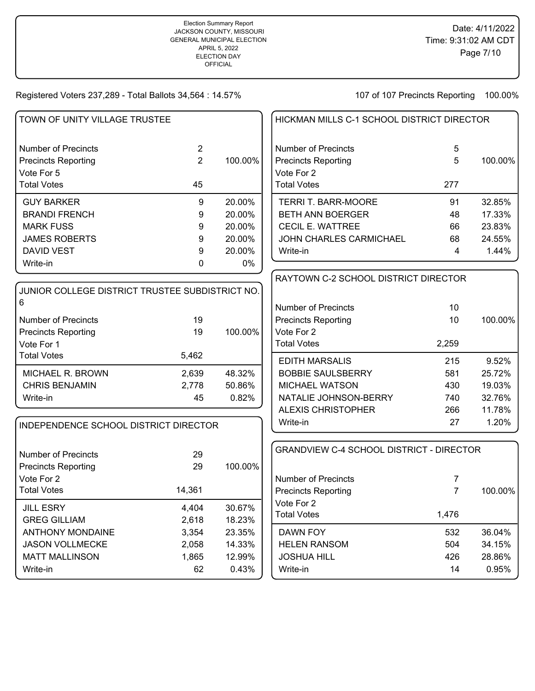| TOWN OF UNITY VILLAGE TRUSTEE                   |                |         | HICKMAN MILLS C-1 SCHOOL DISTRICT DIRECTOR      |                |         |
|-------------------------------------------------|----------------|---------|-------------------------------------------------|----------------|---------|
| <b>Number of Precincts</b>                      | $\overline{2}$ |         | <b>Number of Precincts</b>                      | 5              |         |
| <b>Precincts Reporting</b>                      | $\overline{2}$ | 100.00% | <b>Precincts Reporting</b>                      | 5              | 100.00% |
| Vote For 5                                      |                |         | Vote For 2                                      |                |         |
| <b>Total Votes</b>                              | 45             |         | <b>Total Votes</b>                              | 277            |         |
| <b>GUY BARKER</b>                               | 9              | 20.00%  | <b>TERRI T. BARR-MOORE</b>                      | 91             | 32.85%  |
| <b>BRANDI FRENCH</b>                            | 9              | 20.00%  | <b>BETH ANN BOERGER</b>                         | 48             | 17.33%  |
| <b>MARK FUSS</b>                                | 9              | 20.00%  | <b>CECIL E. WATTREE</b>                         | 66             | 23.83%  |
| <b>JAMES ROBERTS</b>                            | 9              | 20.00%  | JOHN CHARLES CARMICHAEL                         | 68             | 24.55%  |
| <b>DAVID VEST</b>                               | 9              | 20.00%  | Write-in                                        | 4              | 1.44%   |
| Write-in                                        | $\Omega$       | 0%      |                                                 |                |         |
|                                                 |                |         | RAYTOWN C-2 SCHOOL DISTRICT DIRECTOR            |                |         |
| JUNIOR COLLEGE DISTRICT TRUSTEE SUBDISTRICT NO. |                |         |                                                 |                |         |
| 6                                               |                |         | <b>Number of Precincts</b>                      | 10             |         |
| <b>Number of Precincts</b>                      | 19             |         | <b>Precincts Reporting</b>                      | 10             | 100.00% |
| <b>Precincts Reporting</b>                      | 19             | 100.00% | Vote For 2                                      |                |         |
| Vote For 1                                      |                |         | <b>Total Votes</b>                              | 2,259          |         |
| <b>Total Votes</b>                              | 5,462          |         | <b>EDITH MARSALIS</b>                           | 215            | 9.52%   |
| MICHAEL R. BROWN                                | 2,639          | 48.32%  | <b>BOBBIE SAULSBERRY</b>                        | 581            | 25.72%  |
| <b>CHRIS BENJAMIN</b>                           | 2,778          | 50.86%  | MICHAEL WATSON                                  | 430            | 19.03%  |
| Write-in                                        | 45             | 0.82%   | NATALIE JOHNSON-BERRY                           | 740            | 32.76%  |
|                                                 |                |         | <b>ALEXIS CHRISTOPHER</b>                       | 266            | 11.78%  |
|                                                 |                |         | Write-in                                        | 27             | 1.20%   |
| INDEPENDENCE SCHOOL DISTRICT DIRECTOR           |                |         |                                                 |                |         |
|                                                 |                |         | <b>GRANDVIEW C-4 SCHOOL DISTRICT - DIRECTOR</b> |                |         |
| <b>Number of Precincts</b>                      | 29             |         |                                                 |                |         |
| <b>Precincts Reporting</b>                      | 29             | 100.00% |                                                 |                |         |
| Vote For 2                                      |                |         | <b>Number of Precincts</b>                      | 7              |         |
| <b>Total Votes</b>                              | 14,361         |         | <b>Precincts Reporting</b>                      | $\overline{7}$ | 100.00% |
| <b>JILL ESRY</b>                                | 4,404          | 30.67%  | Vote For 2                                      |                |         |
| <b>GREG GILLIAM</b>                             | 2,618          | 18.23%  | <b>Total Votes</b>                              | 1,476          |         |
| <b>ANTHONY MONDAINE</b>                         | 3,354          | 23.35%  | DAWN FOY                                        | 532            | 36.04%  |
| <b>JASON VOLLMECKE</b>                          | 2,058          | 14.33%  | <b>HELEN RANSOM</b>                             | 504            | 34.15%  |
| <b>MATT MALLINSON</b>                           | 1,865          | 12.99%  | <b>JOSHUA HILL</b>                              | 426            | 28.86%  |
| Write-in                                        | 62             | 0.43%   | Write-in                                        | 14             | 0.95%   |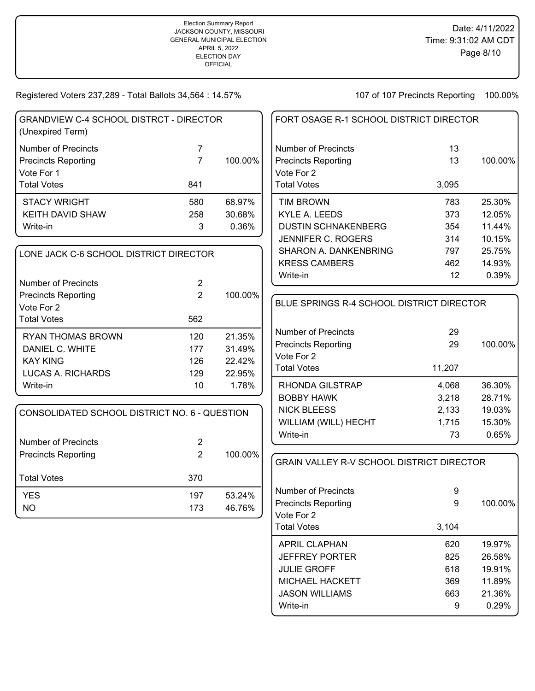107 of 107 Precincts Reporting 100.00%

Write-in 9 0.29%

| <b>GRANDVIEW C-4 SCHOOL DISTRCT - DIRECTOR</b><br>(Unexpired Term)     |                                  |         | FORT OSAGE R-1 SCHOOL DISTRICT DIRECTOR                                |          |         |
|------------------------------------------------------------------------|----------------------------------|---------|------------------------------------------------------------------------|----------|---------|
| <b>Number of Precincts</b><br><b>Precincts Reporting</b><br>Vote For 1 | 7<br>$\overline{7}$              | 100.00% | <b>Number of Precincts</b><br><b>Precincts Reporting</b><br>Vote For 2 | 13<br>13 | 100.00% |
| <b>Total Votes</b>                                                     | 841                              |         | <b>Total Votes</b>                                                     | 3,095    |         |
| <b>STACY WRIGHT</b>                                                    | 580                              | 68.97%  | <b>TIM BROWN</b>                                                       | 783      | 25.30%  |
| <b>KEITH DAVID SHAW</b>                                                | 258                              | 30.68%  | <b>KYLE A. LEEDS</b>                                                   | 373      | 12.05%  |
| Write-in                                                               | 3                                | 0.36%   | <b>DUSTIN SCHNAKENBERG</b>                                             | 354      | 11.44%  |
|                                                                        |                                  |         | JENNIFER C. ROGERS                                                     | 314      | 10.15%  |
| LONE JACK C-6 SCHOOL DISTRICT DIRECTOR                                 |                                  |         | SHARON A. DANKENBRING                                                  | 797      | 25.75%  |
|                                                                        |                                  |         | <b>KRESS CAMBERS</b>                                                   | 462      | 14.93%  |
|                                                                        |                                  |         | Write-in                                                               | 12       | 0.39%   |
| <b>Number of Precincts</b>                                             | $\overline{2}$<br>$\overline{2}$ |         |                                                                        |          |         |
| <b>Precincts Reporting</b>                                             |                                  | 100.00% | BLUE SPRINGS R-4 SCHOOL DISTRICT DIRECTOR                              |          |         |
| Vote For 2<br><b>Total Votes</b>                                       | 562                              |         |                                                                        |          |         |
|                                                                        |                                  |         | <b>Number of Precincts</b>                                             | 29       |         |
| <b>RYAN THOMAS BROWN</b>                                               | 120                              | 21.35%  | <b>Precincts Reporting</b>                                             | 29       | 100.00% |
| DANIEL C. WHITE                                                        | 177                              | 31.49%  | Vote For 2                                                             |          |         |
| <b>KAY KING</b>                                                        | 126                              | 22.42%  | <b>Total Votes</b>                                                     | 11,207   |         |
| LUCAS A. RICHARDS                                                      | 129                              | 22.95%  |                                                                        |          |         |
| Write-in                                                               | 10                               | 1.78%   | <b>RHONDA GILSTRAP</b>                                                 | 4,068    | 36.30%  |
|                                                                        |                                  |         | <b>BOBBY HAWK</b>                                                      | 3,218    | 28.71%  |
| CONSOLIDATED SCHOOL DISTRICT NO. 6 - QUESTION                          |                                  |         | <b>NICK BLEESS</b>                                                     | 2,133    | 19.03%  |
|                                                                        |                                  |         | WILLIAM (WILL) HECHT                                                   | 1,715    | 15.30%  |
| <b>Number of Precincts</b>                                             | $\overline{2}$                   |         | Write-in                                                               | 73       | 0.65%   |
| <b>Precincts Reporting</b>                                             | $\overline{2}$                   | 100.00% |                                                                        |          |         |
|                                                                        |                                  |         | <b>GRAIN VALLEY R-V SCHOOL DISTRICT DIRECTOR</b>                       |          |         |
| <b>Total Votes</b>                                                     | 370                              |         |                                                                        |          |         |
| <b>YES</b>                                                             | 197                              | 53.24%  | <b>Number of Precincts</b>                                             | 9        |         |
| <b>NO</b>                                                              | 173                              | 46.76%  | <b>Precincts Reporting</b>                                             | 9        | 100.00% |
|                                                                        |                                  |         | Vote For 2                                                             |          |         |
|                                                                        |                                  |         | <b>Total Votes</b>                                                     | 3,104    |         |
|                                                                        |                                  |         | <b>APRIL CLAPHAN</b>                                                   | 620      | 19.97%  |
|                                                                        |                                  |         | <b>JEFFREY PORTER</b>                                                  | 825      | 26.58%  |
|                                                                        |                                  |         | <b>JULIE GROFF</b>                                                     | 618      | 19.91%  |
|                                                                        |                                  |         | <b>MICHAEL HACKETT</b>                                                 | 369      | 11.89%  |
|                                                                        |                                  |         | <b>JASON WILLIAMS</b>                                                  | 663      | 21.36%  |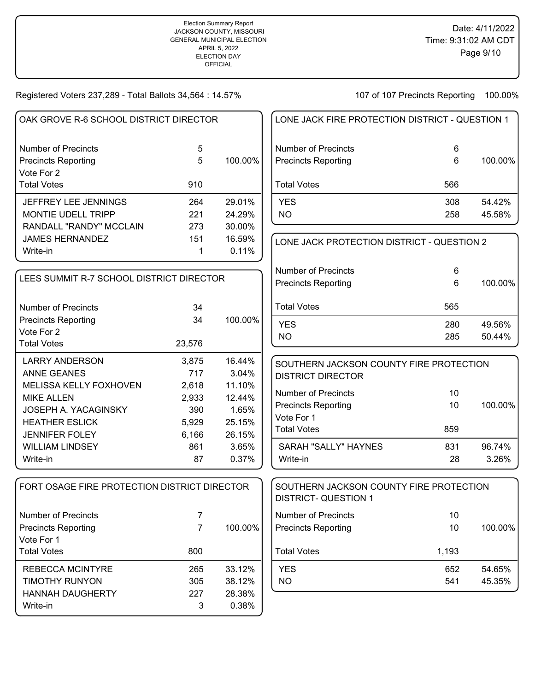| LONE JACK FIRE PROTECTION DISTRICT - QUESTION 1 |     |         |
|-------------------------------------------------|-----|---------|
| Number of Precincts                             | 6   |         |
| <b>Precincts Reporting</b>                      | 6   | 100.00% |
| l Total Votes                                   | 566 |         |
| <b>YES</b>                                      | 308 | 54.42%  |
| NO.                                             | 258 | 45.58%  |

| LONE JACK PROTECTION DISTRICT - QUESTION 2 |     |         |
|--------------------------------------------|-----|---------|
| Number of Precincts                        | 6   |         |
| <b>Precincts Reporting</b>                 | 6   | 100.00% |
| <b>Total Votes</b>                         | 565 |         |
| <b>YES</b>                                 | 280 | 49.56%  |
| NO                                         | 285 | 50.44%  |

| SOUTHERN JACKSON COUNTY FIRE PROTECTION<br>DISTRICT DIRECTOR |     |         |
|--------------------------------------------------------------|-----|---------|
| Number of Precincts                                          | 10  |         |
| <b>Precincts Reporting</b>                                   | 10  | 100.00% |
| Vote For 1                                                   |     |         |
| <b>Total Votes</b>                                           | 859 |         |
| SARAH "SALLY" HAYNES                                         | 831 | 96.74%  |
| Write-in                                                     | 28  | 3.26%   |

| SOUTHERN JACKSON COUNTY FIRE PROTECTION<br><b>DISTRICT- QUESTION 1</b> |            |                  |
|------------------------------------------------------------------------|------------|------------------|
| Number of Precincts<br><b>Precincts Reporting</b>                      | 10<br>10   | 100.00%          |
| <b>Total Votes</b>                                                     | 1,193      |                  |
| YFS<br>NΟ                                                              | 652<br>541 | 54.65%<br>45.35% |

| OAK GROVE R-6 SCHOOL DISTRICT DIRECTOR   |     |          |  |  |
|------------------------------------------|-----|----------|--|--|
| Number of Precincts                      | 5   |          |  |  |
| <b>Precincts Reporting</b><br>Vote For 2 | 5   | 100.00%  |  |  |
| <b>Total Votes</b>                       | 910 |          |  |  |
| JEFFREY LEE JENNINGS                     | 264 | 29.01%   |  |  |
| <b>MONTIE UDELL TRIPP</b>                | 221 | 24.29%   |  |  |
| RANDALL "RANDY" MCCLAIN                  | 273 | 30.00%   |  |  |
| <b>JAMES HERNANDEZ</b>                   | 151 | 16.59%   |  |  |
| Write-in                                 |     | $0.11\%$ |  |  |

| LEES SUMMIT R-7 SCHOOL DISTRICT DIRECTOR                        |          |         |  |  |
|-----------------------------------------------------------------|----------|---------|--|--|
| Number of Precincts<br><b>Precincts Reporting</b><br>Vote For 2 | 34<br>34 | 100.00% |  |  |
| <b>Total Votes</b>                                              | 23,576   |         |  |  |
| LARRY ANDERSON                                                  | 3,875    | 16.44%  |  |  |
| <b>ANNE GEANES</b>                                              | 717      | 3.04%   |  |  |
| <b>MELISSA KELLY FOXHOVEN</b>                                   | 2,618    | 11.10%  |  |  |
| <b>MIKE ALLEN</b>                                               | 2,933    | 12.44%  |  |  |
| JOSEPH A. YACAGINSKY                                            | 390      | 1.65%   |  |  |
| <b>HEATHER ESLICK</b>                                           | 5,929    | 25.15%  |  |  |
| <b>JENNIFER FOLEY</b>                                           | 6,166    | 26.15%  |  |  |
| WILLIAM LINDSEY                                                 | 861      | 3.65%   |  |  |
| Write-in                                                        | 87       | 0.37%   |  |  |

| FORT OSAGE FIRE PROTECTION DISTRICT DIRECTOR                                          |                        |                                     |
|---------------------------------------------------------------------------------------|------------------------|-------------------------------------|
| Number of Precincts<br><b>Precincts Reporting</b><br>Vote For 1<br><b>Total Votes</b> | 7<br>800               | 100.00%                             |
| REBECCA MCINTYRE<br><b>TIMOTHY RUNYON</b><br><b>HANNAH DAUGHERTY</b><br>Write-in      | 265<br>305<br>227<br>3 | 33.12%<br>38.12%<br>28.38%<br>0.38% |